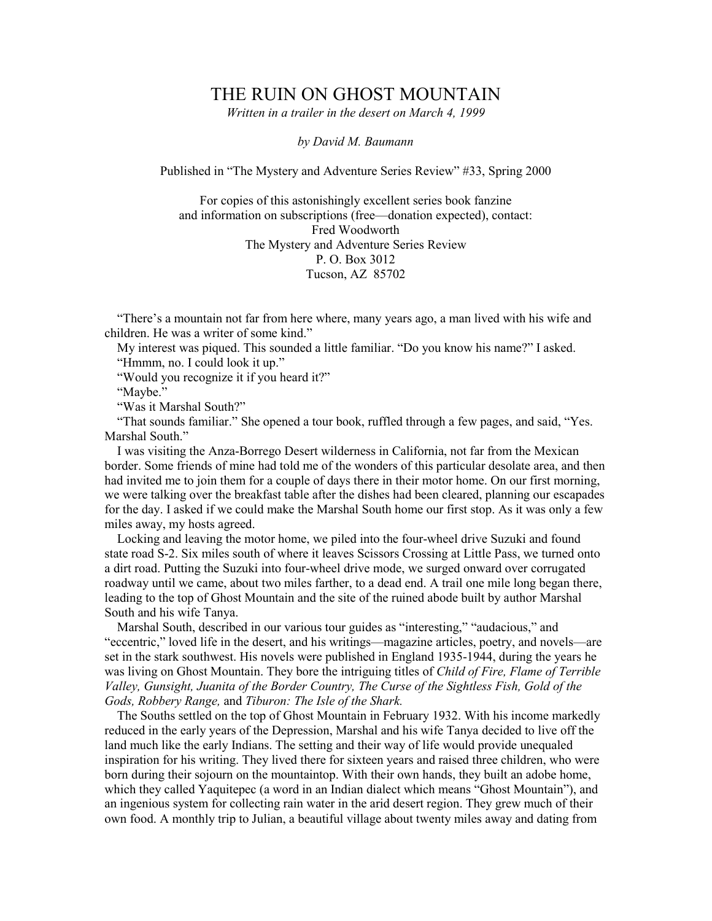## THE RUIN ON GHOST MOUNTAIN

Written in a trailer in the desert on March 4, 1999

by David M. Baumann

Published in "The Mystery and Adventure Series Review" #33, Spring 2000

For copies of this astonishingly excellent series book fanzine and information on subscriptions (free—donation expected), contact: Fred Woodworth The Mystery and Adventure Series Review P. O. Box 3012 Tucson, AZ 85702

"There's a mountain not far from here where, many years ago, a man lived with his wife and children. He was a writer of some kind."

My interest was piqued. This sounded a little familiar. "Do you know his name?" I asked. "Hmmm, no. I could look it up."

"Would you recognize it if you heard it?"

"Maybe."

"Was it Marshal South?"

 "That sounds familiar." She opened a tour book, ruffled through a few pages, and said, "Yes. Marshal South."

 I was visiting the Anza-Borrego Desert wilderness in California, not far from the Mexican border. Some friends of mine had told me of the wonders of this particular desolate area, and then had invited me to join them for a couple of days there in their motor home. On our first morning, we were talking over the breakfast table after the dishes had been cleared, planning our escapades for the day. I asked if we could make the Marshal South home our first stop. As it was only a few miles away, my hosts agreed.

Locking and leaving the motor home, we piled into the four-wheel drive Suzuki and found state road S-2. Six miles south of where it leaves Scissors Crossing at Little Pass, we turned onto a dirt road. Putting the Suzuki into four-wheel drive mode, we surged onward over corrugated roadway until we came, about two miles farther, to a dead end. A trail one mile long began there, leading to the top of Ghost Mountain and the site of the ruined abode built by author Marshal South and his wife Tanya.

 Marshal South, described in our various tour guides as "interesting," "audacious," and "eccentric," loved life in the desert, and his writings—magazine articles, poetry, and novels—are set in the stark southwest. His novels were published in England 1935-1944, during the years he was living on Ghost Mountain. They bore the intriguing titles of Child of Fire, Flame of Terrible Valley, Gunsight, Juanita of the Border Country, The Curse of the Sightless Fish, Gold of the Gods, Robbery Range, and Tiburon: The Isle of the Shark.

 The Souths settled on the top of Ghost Mountain in February 1932. With his income markedly reduced in the early years of the Depression, Marshal and his wife Tanya decided to live off the land much like the early Indians. The setting and their way of life would provide unequaled inspiration for his writing. They lived there for sixteen years and raised three children, who were born during their sojourn on the mountaintop. With their own hands, they built an adobe home, which they called Yaquitepec (a word in an Indian dialect which means "Ghost Mountain"), and an ingenious system for collecting rain water in the arid desert region. They grew much of their own food. A monthly trip to Julian, a beautiful village about twenty miles away and dating from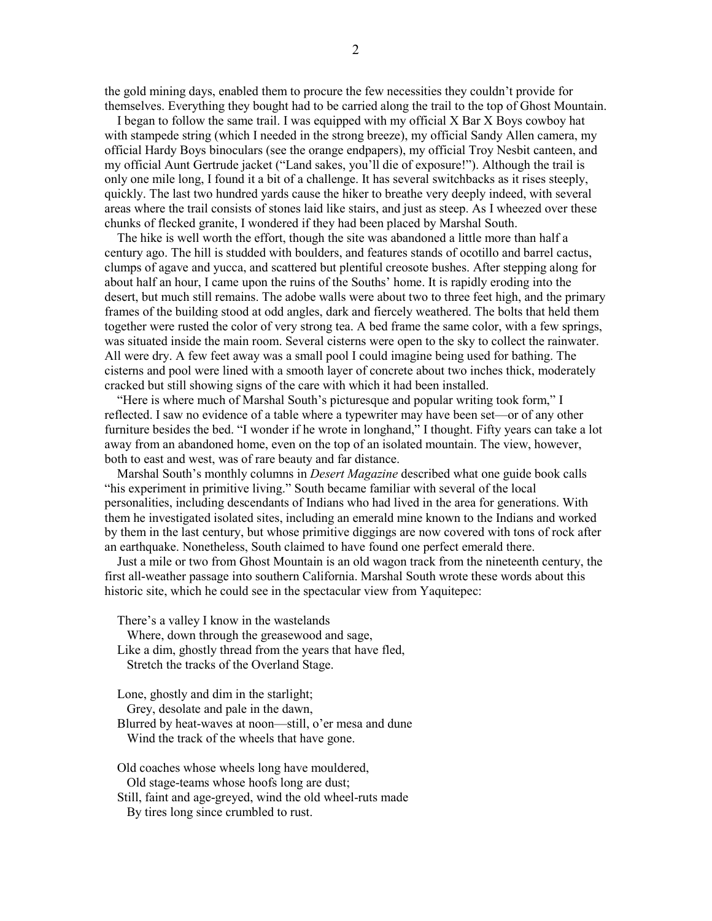the gold mining days, enabled them to procure the few necessities they couldn't provide for themselves. Everything they bought had to be carried along the trail to the top of Ghost Mountain.

 I began to follow the same trail. I was equipped with my official X Bar X Boys cowboy hat with stampede string (which I needed in the strong breeze), my official Sandy Allen camera, my official Hardy Boys binoculars (see the orange endpapers), my official Troy Nesbit canteen, and my official Aunt Gertrude jacket ("Land sakes, you'll die of exposure!"). Although the trail is only one mile long, I found it a bit of a challenge. It has several switchbacks as it rises steeply, quickly. The last two hundred yards cause the hiker to breathe very deeply indeed, with several areas where the trail consists of stones laid like stairs, and just as steep. As I wheezed over these chunks of flecked granite, I wondered if they had been placed by Marshal South.

 The hike is well worth the effort, though the site was abandoned a little more than half a century ago. The hill is studded with boulders, and features stands of ocotillo and barrel cactus, clumps of agave and yucca, and scattered but plentiful creosote bushes. After stepping along for about half an hour, I came upon the ruins of the Souths' home. It is rapidly eroding into the desert, but much still remains. The adobe walls were about two to three feet high, and the primary frames of the building stood at odd angles, dark and fiercely weathered. The bolts that held them together were rusted the color of very strong tea. A bed frame the same color, with a few springs, was situated inside the main room. Several cisterns were open to the sky to collect the rainwater. All were dry. A few feet away was a small pool I could imagine being used for bathing. The cisterns and pool were lined with a smooth layer of concrete about two inches thick, moderately cracked but still showing signs of the care with which it had been installed.

 "Here is where much of Marshal South's picturesque and popular writing took form," I reflected. I saw no evidence of a table where a typewriter may have been set—or of any other furniture besides the bed. "I wonder if he wrote in longhand," I thought. Fifty years can take a lot away from an abandoned home, even on the top of an isolated mountain. The view, however, both to east and west, was of rare beauty and far distance.

Marshal South's monthly columns in *Desert Magazine* described what one guide book calls "his experiment in primitive living." South became familiar with several of the local personalities, including descendants of Indians who had lived in the area for generations. With them he investigated isolated sites, including an emerald mine known to the Indians and worked by them in the last century, but whose primitive diggings are now covered with tons of rock after an earthquake. Nonetheless, South claimed to have found one perfect emerald there.

Just a mile or two from Ghost Mountain is an old wagon track from the nineteenth century, the first all-weather passage into southern California. Marshal South wrote these words about this historic site, which he could see in the spectacular view from Yaquitepec:

There's a valley I know in the wastelands

Where, down through the greasewood and sage,

 Like a dim, ghostly thread from the years that have fled, Stretch the tracks of the Overland Stage.

Lone, ghostly and dim in the starlight;

Grey, desolate and pale in the dawn,

Blurred by heat-waves at noon—still, o'er mesa and dune

Wind the track of the wheels that have gone.

Old coaches whose wheels long have mouldered,

Old stage-teams whose hoofs long are dust;

Still, faint and age-greyed, wind the old wheel-ruts made

By tires long since crumbled to rust.